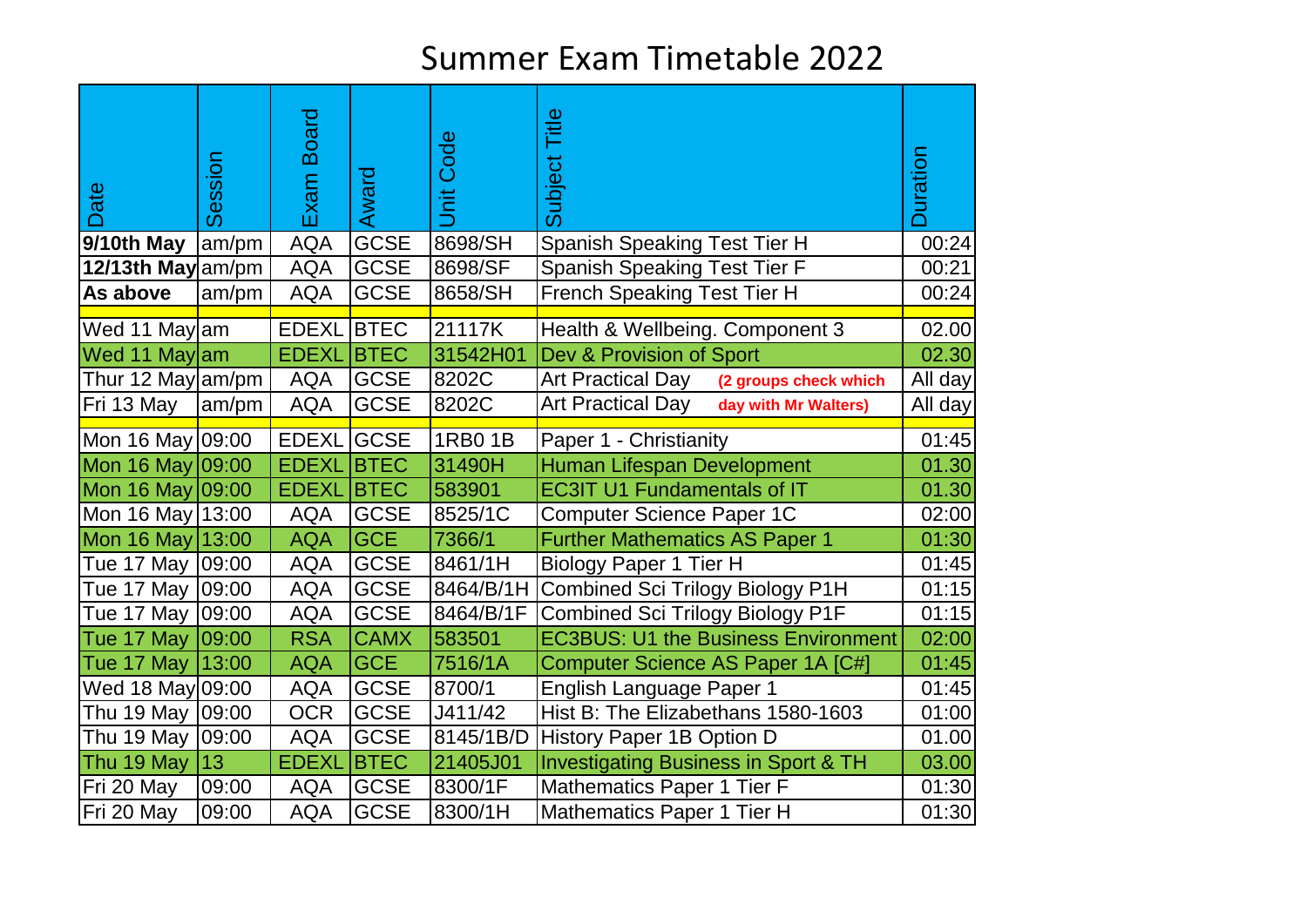| Date               | Session | <b>Board</b><br>Exam | Award       | Code<br><b>jid</b> | Title<br>Subject                                  | <b>Duration</b> |
|--------------------|---------|----------------------|-------------|--------------------|---------------------------------------------------|-----------------|
| 9/10th May         | am/pm   | <b>AQA</b>           | <b>GCSE</b> | 8698/SH            | <b>Spanish Speaking Test Tier H</b>               | 00:24           |
| 12/13th May am/pm  |         | <b>AQA</b>           | <b>GCSE</b> | 8698/SF            | Spanish Speaking Test Tier F                      | 00:21           |
| As above           | am/pm   | <b>AQA</b>           | <b>GCSE</b> | 8658/SH            | French Speaking Test Tier H                       | 00:24           |
| Wed 11 May am      |         | <b>EDEXL</b>         | <b>BTEC</b> | 21117K             | Health & Wellbeing. Component 3                   | 02.00           |
| Wed 11 Maylam      |         | <b>EDEXL</b>         | <b>BTEC</b> | 31542H01           | Dev & Provision of Sport                          | 02.30           |
| Thur 12 May am/pm  |         | <b>AQA</b>           | <b>GCSE</b> | 8202C              | <b>Art Practical Day</b><br>(2 groups check which | All day         |
| Fri 13 May         | am/pm   | <b>AQA</b>           | <b>GCSE</b> | 8202C              | <b>Art Practical Day</b><br>day with Mr Walters)  | All day         |
| Mon 16 May 09:00   |         | <b>EDEXL</b>         | <b>GCSE</b> | 1RB0 1B            | Paper 1 - Christianity                            | 01:45           |
| Mon 16 May 09:00   |         | <b>EDEXL</b>         | <b>BTEC</b> | 31490H             | Human Lifespan Development                        | 01.30           |
| Mon 16 May 09:00   |         | <b>EDEXL</b>         | <b>BTEC</b> | 583901             | <b>EC3IT U1 Fundamentals of IT</b>                | 01.30           |
| Mon 16 May 13:00   |         | <b>AQA</b>           | <b>GCSE</b> | 8525/1C            | <b>Computer Science Paper 1C</b>                  | 02:00           |
| Mon 16 May 13:00   |         | <b>AQA</b>           | <b>GCE</b>  | 7366/1             | <b>Further Mathematics AS Paper 1</b>             | 01:30           |
| Tue 17 May   09:00 |         | <b>AQA</b>           | <b>GCSE</b> | 8461/1H            | Biology Paper 1 Tier H                            | 01:45           |
| Tue 17 May   09:00 |         | <b>AQA</b>           | <b>GCSE</b> | 8464/B/1H          | Combined Sci Trilogy Biology P1H                  | 01:15           |
| Tue 17 May   09:00 |         | <b>AQA</b>           | <b>GCSE</b> | 8464/B/1F          | <b>Combined Sci Trilogy Biology P1F</b>           | 01:15           |
| Tue 17 May   09:00 |         | <b>RSA</b>           | <b>CAMX</b> | 583501             | <b>EC3BUS: U1 the Business Environment</b>        | 02:00           |
| Tue 17 May 13:00   |         | <b>AQA</b>           | <b>GCE</b>  | 7516/1A            | Computer Science AS Paper 1A [C#]                 | 01:45           |
| Wed 18 May 09:00   |         | <b>AQA</b>           | <b>GCSE</b> | 8700/1             | English Language Paper 1                          | 01:45           |
| Thu 19 May   09:00 |         | <b>OCR</b>           | <b>GCSE</b> | J411/42            | Hist B: The Elizabethans 1580-1603                | 01:00           |
| Thu 19 May   09:00 |         | <b>AQA</b>           | <b>GCSE</b> | 8145/1B/D          | History Paper 1B Option D                         | 01.00           |
| Thu 19 May         | 13      | <b>EDEXL</b>         | <b>BTEC</b> | 21405J01           | <b>Investigating Business in Sport &amp; TH</b>   | 03.00           |
| Fri 20 May         | 09:00   | <b>AQA</b>           | <b>GCSE</b> | 8300/1F            | Mathematics Paper 1 Tier F                        | 01:30           |
| Fri 20 May         | 09:00   | <b>AQA</b>           | <b>GCSE</b> | 8300/1H            | <b>Mathematics Paper 1 Tier H</b>                 | 01:30           |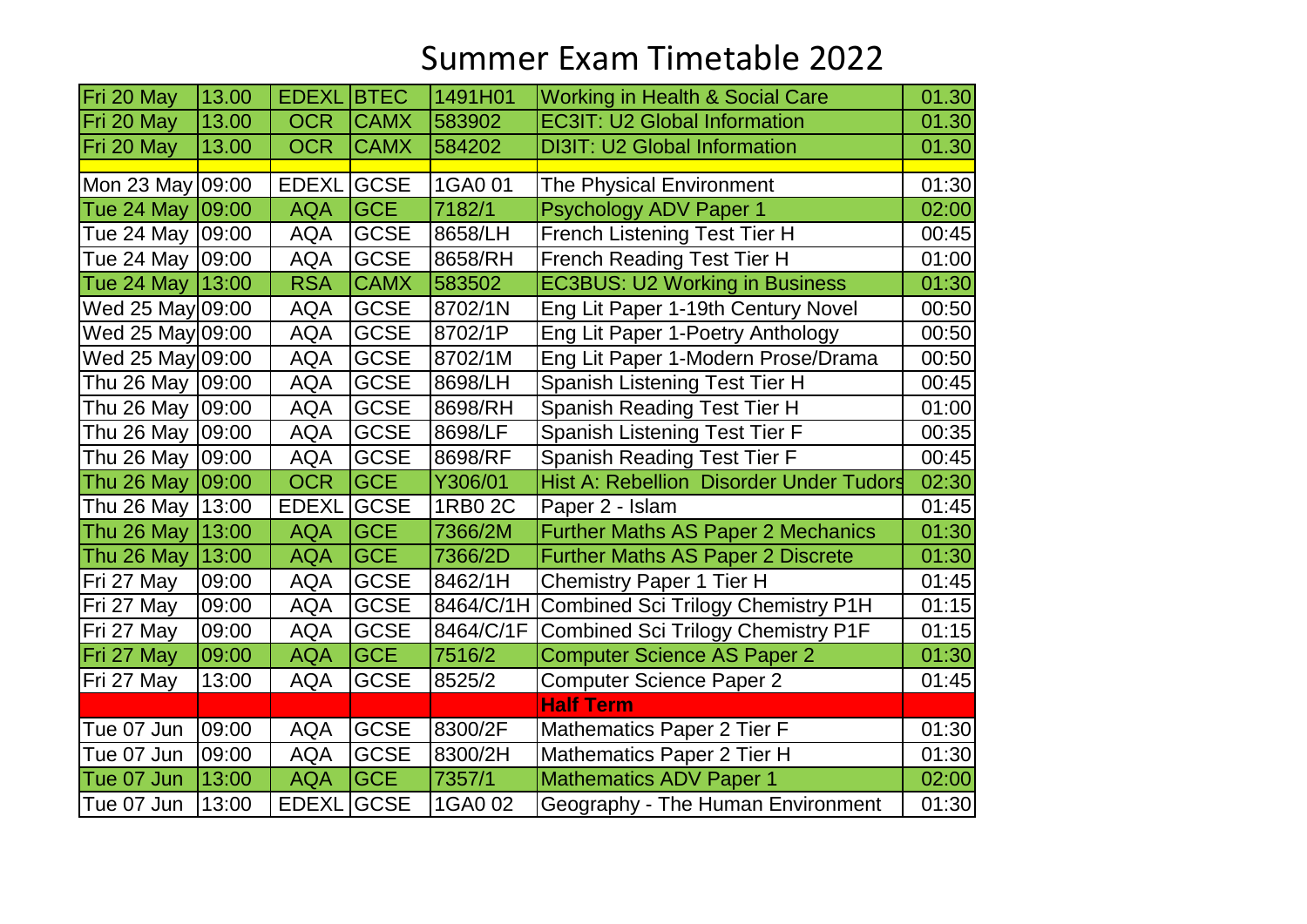| Fri 20 May         | 13.00 | <b>EDEXL</b> | <b>BTEC</b> | 1491H01   | <b>Working in Health &amp; Social Care</b>     | 01.30 |
|--------------------|-------|--------------|-------------|-----------|------------------------------------------------|-------|
| Fri 20 May         | 13.00 | <b>OCR</b>   | <b>CAMX</b> | 583902    | <b>EC3IT: U2 Global Information</b>            | 01.30 |
| Fri 20 May         | 13.00 | <b>OCR</b>   | <b>CAMX</b> | 584202    | <b>DI3IT: U2 Global Information</b>            | 01.30 |
|                    |       |              |             |           |                                                |       |
| Mon 23 May 09:00   |       | <b>EDEXL</b> | <b>GCSE</b> | 1GA0 01   | The Physical Environment                       | 01:30 |
| Tue 24 May   09:00 |       | <b>AQA</b>   | <b>GCE</b>  | 7182/1    | Psychology ADV Paper 1                         | 02:00 |
| Tue 24 May   09:00 |       | <b>AQA</b>   | <b>GCSE</b> | 8658/LH   | French Listening Test Tier H                   | 00:45 |
| Tue 24 May   09:00 |       | <b>AQA</b>   | <b>GCSE</b> | 8658/RH   | French Reading Test Tier H                     | 01:00 |
| Tue 24 May   13:00 |       | <b>RSA</b>   | <b>CAMX</b> | 583502    | <b>EC3BUS: U2 Working in Business</b>          | 01:30 |
| Wed 25 May 09:00   |       | <b>AQA</b>   | <b>GCSE</b> | 8702/1N   | Eng Lit Paper 1-19th Century Novel             | 00:50 |
| Wed 25 May 09:00   |       | <b>AQA</b>   | <b>GCSE</b> | 8702/1P   | Eng Lit Paper 1-Poetry Anthology               | 00:50 |
| Wed 25 May 09:00   |       | <b>AQA</b>   | <b>GCSE</b> | 8702/1M   | Eng Lit Paper 1-Modern Prose/Drama             | 00:50 |
| Thu 26 May   09:00 |       | <b>AQA</b>   | <b>GCSE</b> | 8698/LH   | Spanish Listening Test Tier H                  | 00:45 |
| Thu 26 May   09:00 |       | <b>AQA</b>   | <b>GCSE</b> | 8698/RH   | <b>Spanish Reading Test Tier H</b>             | 01:00 |
| Thu 26 May         | 09:00 | <b>AQA</b>   | <b>GCSE</b> | 8698/LF   | Spanish Listening Test Tier F                  | 00:35 |
| Thu 26 May         | 09:00 | <b>AQA</b>   | <b>GCSE</b> | 8698/RF   | <b>Spanish Reading Test Tier F</b>             | 00:45 |
| Thu 26 May   09:00 |       | <b>OCR</b>   | <b>GCE</b>  | Y306/01   | <b>Hist A: Rebellion Disorder Under Tudors</b> | 02:30 |
| Thu 26 May         | 13:00 | <b>EDEXL</b> | <b>GCSE</b> | 1RB0 2C   | Paper 2 - Islam                                | 01:45 |
| Thu 26 May         | 13:00 | <b>AQA</b>   | <b>GCE</b>  | 7366/2M   | <b>Further Maths AS Paper 2 Mechanics</b>      | 01:30 |
| Thu 26 May         | 13:00 | <b>AQA</b>   | <b>GCE</b>  | 7366/2D   | <b>Further Maths AS Paper 2 Discrete</b>       | 01:30 |
| Fri 27 May         | 09:00 | <b>AQA</b>   | <b>GCSE</b> | 8462/1H   | <b>Chemistry Paper 1 Tier H</b>                | 01:45 |
| Fri 27 May         | 09:00 | <b>AQA</b>   | <b>GCSE</b> | 8464/C/1H | <b>Combined Sci Trilogy Chemistry P1H</b>      | 01:15 |
| Fri 27 May         | 09:00 | <b>AQA</b>   | <b>GCSE</b> | 8464/C/1F | <b>Combined Sci Trilogy Chemistry P1F</b>      | 01:15 |
| Fri 27 May         | 09:00 | <b>AQA</b>   | <b>GCE</b>  | 7516/2    | <b>Computer Science AS Paper 2</b>             | 01:30 |
| Fri 27 May         | 13:00 | <b>AQA</b>   | <b>GCSE</b> | 8525/2    | <b>Computer Science Paper 2</b>                | 01:45 |
|                    |       |              |             |           | <b>Half Term</b>                               |       |
| Tue 07 Jun         | 09:00 | <b>AQA</b>   | <b>GCSE</b> | 8300/2F   | Mathematics Paper 2 Tier F                     | 01:30 |
| Tue 07 Jun         | 09:00 | <b>AQA</b>   | <b>GCSE</b> | 8300/2H   | Mathematics Paper 2 Tier H                     | 01:30 |
| Tue 07 Jun         | 13:00 | <b>AQA</b>   | <b>GCE</b>  | 7357/1    | <b>Mathematics ADV Paper 1</b>                 | 02:00 |
| Tue 07 Jun         | 13:00 | <b>EDEXL</b> | <b>GCSE</b> | 1GA0 02   | Geography - The Human Environment              | 01:30 |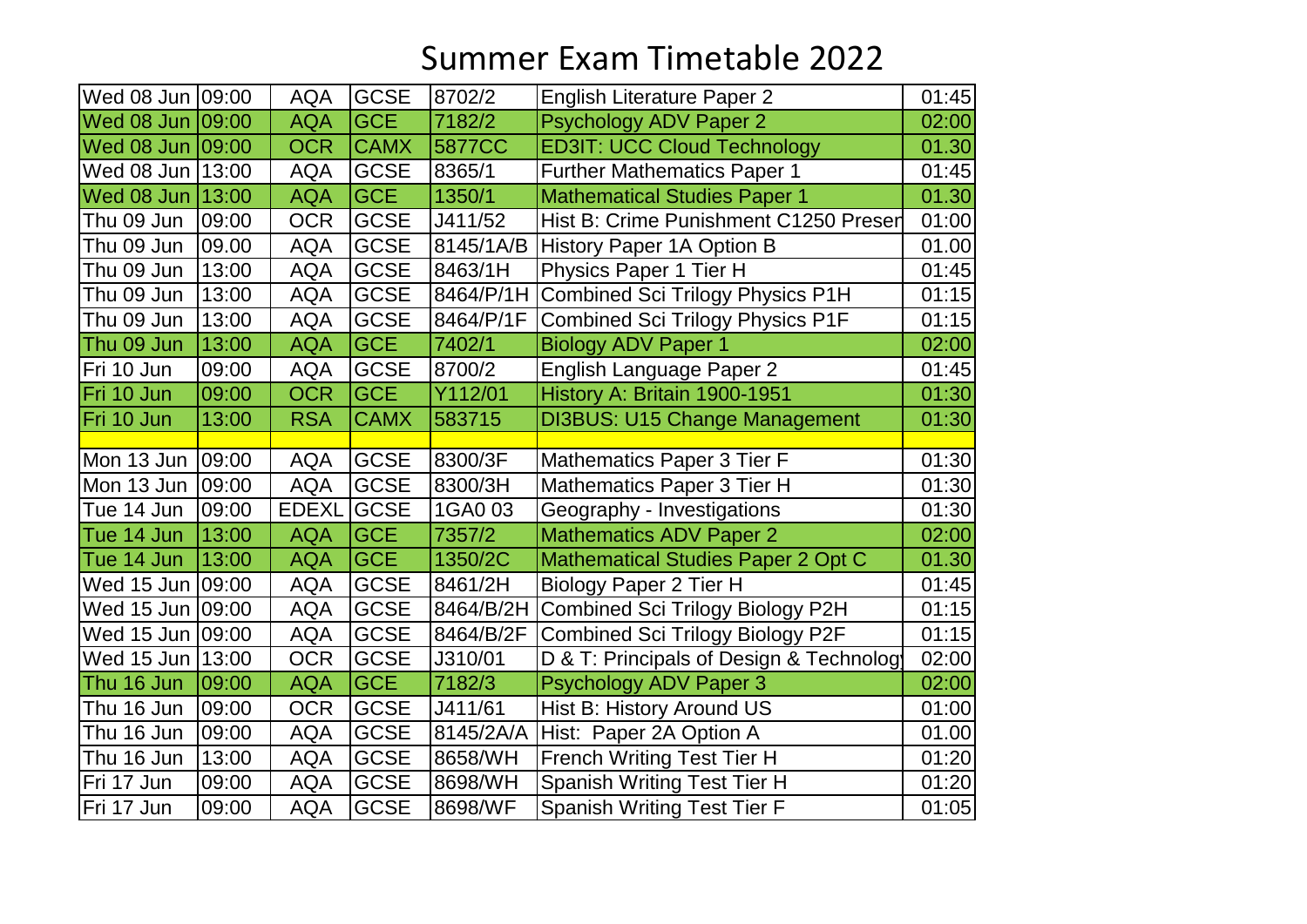| Wed 08 Jun 09:00   |       | <b>AQA</b>   | <b>GCSE</b> | 8702/2    | <b>English Literature Paper 2</b>       | 01:45 |
|--------------------|-------|--------------|-------------|-----------|-----------------------------------------|-------|
| Wed 08 Jun 09:00   |       | <b>AQA</b>   | <b>GCE</b>  | 7182/2    | Psychology ADV Paper 2                  | 02:00 |
| Wed 08 Jun 09:00   |       | <b>OCR</b>   | <b>CAMX</b> | 5877CC    | <b>ED3IT: UCC Cloud Technology</b>      | 01.30 |
| Wed 08 Jun 13:00   |       | <b>AQA</b>   | <b>GCSE</b> | 8365/1    | <b>Further Mathematics Paper 1</b>      | 01:45 |
| Wed 08 Jun         | 13:00 | <b>AQA</b>   | <b>GCE</b>  | 1350/1    | <b>Mathematical Studies Paper 1</b>     | 01.30 |
| Thu 09 Jun         | 09:00 | <b>OCR</b>   | <b>GCSE</b> | J411/52   | Hist B: Crime Punishment C1250 Preser   | 01:00 |
| Thu 09 Jun         | 09.00 | <b>AQA</b>   | <b>GCSE</b> | 8145/1A/B | History Paper 1A Option B               | 01.00 |
| Thu 09 Jun         | 13:00 | <b>AQA</b>   | <b>GCSE</b> | 8463/1H   | Physics Paper 1 Tier H                  | 01:45 |
| Thu 09 Jun         | 13:00 | <b>AQA</b>   | <b>GCSE</b> | 8464/P/1H | <b>Combined Sci Trilogy Physics P1H</b> | 01:15 |
| Thu 09 Jun         | 13:00 | <b>AQA</b>   | <b>GCSE</b> | 8464/P/1F | <b>Combined Sci Trilogy Physics P1F</b> | 01:15 |
| Thu 09 Jun         | 13:00 | <b>AQA</b>   | <b>GCE</b>  | 7402/1    | <b>Biology ADV Paper 1</b>              | 02:00 |
| Fri 10 Jun         | 09:00 | <b>AQA</b>   | <b>GCSE</b> | 8700/2    | English Language Paper 2                | 01:45 |
| Fri 10 Jun         | 09:00 | <b>OCR</b>   | <b>GCE</b>  | Y112/01   | History A: Britain 1900-1951            | 01:30 |
| Fri 10 Jun         | 13:00 | <b>RSA</b>   | <b>CAMX</b> | 583715    | <b>DI3BUS: U15 Change Management</b>    | 01:30 |
|                    |       |              |             |           |                                         |       |
| Mon 13 Jun   09:00 |       | <b>AQA</b>   | <b>GCSE</b> | 8300/3F   | <b>Mathematics Paper 3 Tier F</b>       | 01:30 |
| Mon 13 Jun   09:00 |       | <b>AQA</b>   | <b>GCSE</b> | 8300/3H   | <b>Mathematics Paper 3 Tier H</b>       | 01:30 |
| Tue 14 Jun         | 09:00 | <b>EDEXL</b> | <b>GCSE</b> | 1GA0 03   | Geography - Investigations              | 01:30 |
| Tue 14 Jun         | 13:00 | <b>AQA</b>   | <b>GCE</b>  | 7357/2    | <b>Mathematics ADV Paper 2</b>          | 02:00 |
| Tue 14 Jun         | 13:00 | <b>AQA</b>   | <b>GCE</b>  | 1350/2C   | Mathematical Studies Paper 2 Opt C      | 01.30 |
| Wed 15 Jun 09:00   |       | <b>AQA</b>   | <b>GCSE</b> | 8461/2H   | Biology Paper 2 Tier H                  | 01:45 |
| Wed 15 Jun 09:00   |       | <b>AQA</b>   | <b>GCSE</b> | 8464/B/2H | Combined Sci Trilogy Biology P2H        | 01:15 |
| Wed 15 Jun 09:00   |       | <b>AQA</b>   | <b>GCSE</b> | 8464/B/2F | <b>Combined Sci Trilogy Biology P2F</b> | 01:15 |
| Wed 15 Jun 13:00   |       | <b>OCR</b>   | <b>GCSE</b> | J310/01   | D & T: Principals of Design & Technolog | 02:00 |
| Thu 16 Jun         | 09:00 | <b>AQA</b>   | <b>GCE</b>  | 7182/3    | <b>Psychology ADV Paper 3</b>           | 02:00 |
| Thu 16 Jun         | 09:00 | <b>OCR</b>   | <b>GCSE</b> | J411/61   | Hist B: History Around US               | 01:00 |
| Thu 16 Jun         | 09:00 | <b>AQA</b>   | <b>GCSE</b> | 8145/2A/A | Hist: Paper 2A Option A                 | 01.00 |
| Thu 16 Jun         | 13:00 | <b>AQA</b>   | <b>GCSE</b> | 8658/WH   | French Writing Test Tier H              | 01:20 |
| Fri 17 Jun         | 09:00 | <b>AQA</b>   | <b>GCSE</b> | 8698/WH   | <b>Spanish Writing Test Tier H</b>      | 01:20 |
| Fri 17 Jun         | 09:00 | <b>AQA</b>   | <b>GCSE</b> | 8698/WF   | <b>Spanish Writing Test Tier F</b>      | 01:05 |